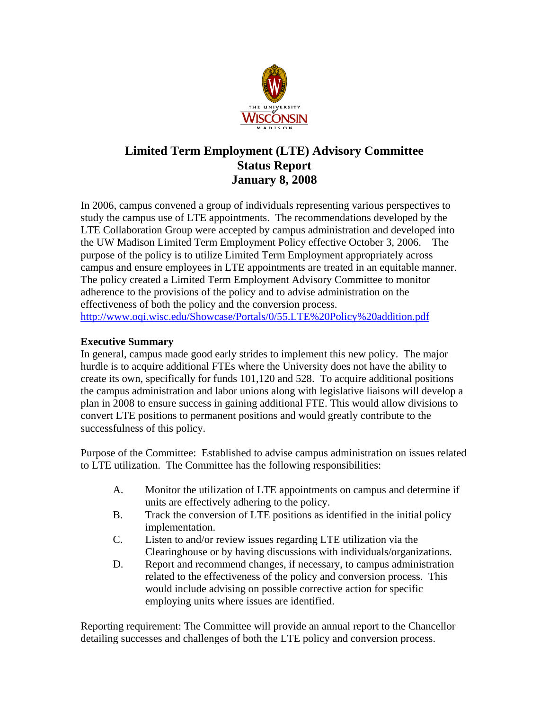

# **Limited Term Employment (LTE) Advisory Committee Status Report January 8, 2008**

In 2006, campus convened a group of individuals representing various perspectives to study the campus use of LTE appointments. The recommendations developed by the LTE Collaboration Group were accepted by campus administration and developed into the UW Madison Limited Term Employment Policy effective October 3, 2006. The purpose of the policy is to utilize Limited Term Employment appropriately across campus and ensure employees in LTE appointments are treated in an equitable manner. The policy created a Limited Term Employment Advisory Committee to monitor adherence to the provisions of the policy and to advise administration on the effectiveness of both the policy and the conversion process. http://www.oqi.wisc.edu/Showcase/Portals/0/55.LTE%20Policy%20addition.pdf

## **Executive Summary**

In general, campus made good early strides to implement this new policy. The major hurdle is to acquire additional FTEs where the University does not have the ability to create its own, specifically for funds 101,120 and 528. To acquire additional positions the campus administration and labor unions along with legislative liaisons will develop a plan in 2008 to ensure success in gaining additional FTE. This would allow divisions to convert LTE positions to permanent positions and would greatly contribute to the successfulness of this policy.

Purpose of the Committee: Established to advise campus administration on issues related to LTE utilization. The Committee has the following responsibilities:

- A. Monitor the utilization of LTE appointments on campus and determine if units are effectively adhering to the policy.
- B. Track the conversion of LTE positions as identified in the initial policy implementation.
- C. Listen to and/or review issues regarding LTE utilization via the Clearinghouse or by having discussions with individuals/organizations.
- D. Report and recommend changes, if necessary, to campus administration related to the effectiveness of the policy and conversion process. This would include advising on possible corrective action for specific employing units where issues are identified.

Reporting requirement: The Committee will provide an annual report to the Chancellor detailing successes and challenges of both the LTE policy and conversion process.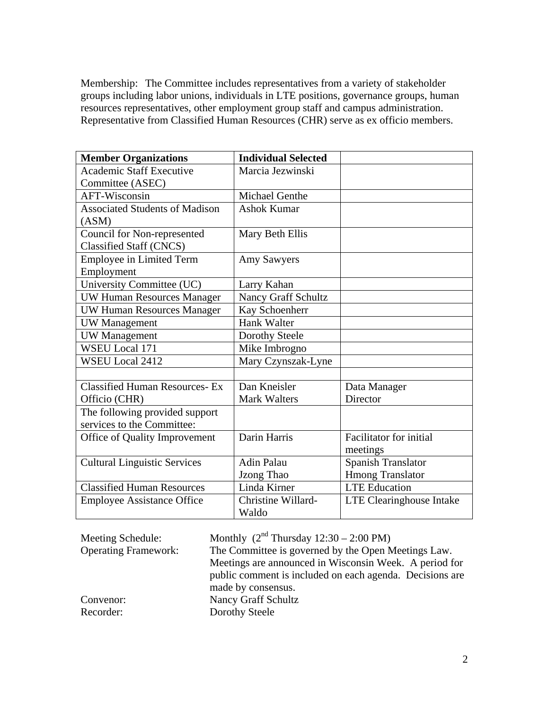Membership: The Committee includes representatives from a variety of stakeholder groups including labor unions, individuals in LTE positions, governance groups, human resources representatives, other employment group staff and campus administration. Representative from Classified Human Resources (CHR) serve as ex officio members.

| <b>Member Organizations</b>           | <b>Individual Selected</b> |                                 |
|---------------------------------------|----------------------------|---------------------------------|
| <b>Academic Staff Executive</b>       | Marcia Jezwinski           |                                 |
| Committee (ASEC)                      |                            |                                 |
| AFT-Wisconsin                         | Michael Genthe             |                                 |
| <b>Associated Students of Madison</b> | <b>Ashok Kumar</b>         |                                 |
| (ASM)                                 |                            |                                 |
| <b>Council for Non-represented</b>    | Mary Beth Ellis            |                                 |
| <b>Classified Staff (CNCS)</b>        |                            |                                 |
| <b>Employee in Limited Term</b>       | <b>Amy Sawyers</b>         |                                 |
| Employment                            |                            |                                 |
| University Committee (UC)             | Larry Kahan                |                                 |
| <b>UW Human Resources Manager</b>     | <b>Nancy Graff Schultz</b> |                                 |
| <b>UW Human Resources Manager</b>     | Kay Schoenherr             |                                 |
| <b>UW</b> Management                  | <b>Hank Walter</b>         |                                 |
| <b>UW</b> Management                  | Dorothy Steele             |                                 |
| <b>WSEU Local 171</b>                 | Mike Imbrogno              |                                 |
| <b>WSEU Local 2412</b>                | Mary Czynszak-Lyne         |                                 |
|                                       |                            |                                 |
| <b>Classified Human Resources-Ex</b>  | Dan Kneisler               | Data Manager                    |
| Officio (CHR)                         | <b>Mark Walters</b>        | Director                        |
| The following provided support        |                            |                                 |
| services to the Committee:            |                            |                                 |
| Office of Quality Improvement         | Darin Harris               | Facilitator for initial         |
|                                       |                            | meetings                        |
| <b>Cultural Linguistic Services</b>   | <b>Adin Palau</b>          | <b>Spanish Translator</b>       |
|                                       | Jzong Thao                 | <b>Hmong Translator</b>         |
| <b>Classified Human Resources</b>     | Linda Kirner               | <b>LTE</b> Education            |
| <b>Employee Assistance Office</b>     | Christine Willard-         | <b>LTE Clearinghouse Intake</b> |
|                                       | Waldo                      |                                 |

| Meeting Schedule:           | Monthly $(2nd Thursday 12:30 – 2:00 PM)$                 |
|-----------------------------|----------------------------------------------------------|
| <b>Operating Framework:</b> | The Committee is governed by the Open Meetings Law.      |
|                             | Meetings are announced in Wisconsin Week. A period for   |
|                             | public comment is included on each agenda. Decisions are |
|                             | made by consensus.                                       |
| Convenor:                   | Nancy Graff Schultz                                      |
| Recorder:                   | Dorothy Steele                                           |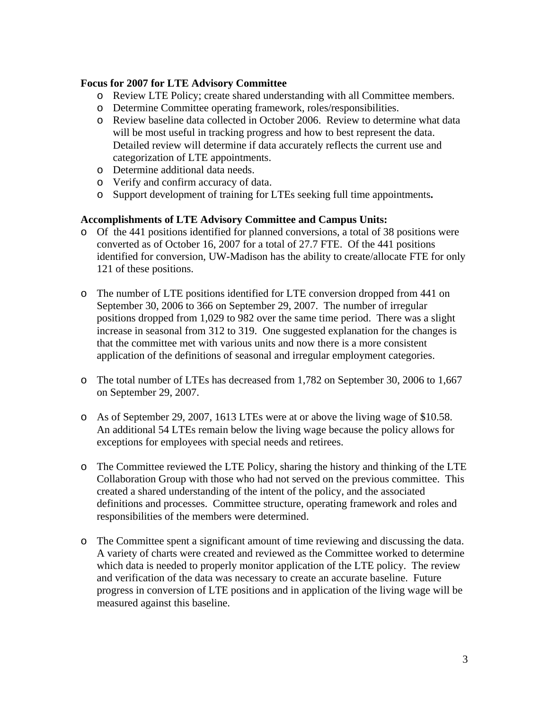#### **Focus for 2007 for LTE Advisory Committee**

- o Review LTE Policy; create shared understanding with all Committee members.
- o Determine Committee operating framework, roles/responsibilities.
- o Review baseline data collected in October 2006. Review to determine what data will be most useful in tracking progress and how to best represent the data. Detailed review will determine if data accurately reflects the current use and categorization of LTE appointments.
- o Determine additional data needs.
- o Verify and confirm accuracy of data.
- o Support development of training for LTEs seeking full time appointments**.**

## **Accomplishments of LTE Advisory Committee and Campus Units:**

- o Of the 441 positions identified for planned conversions, a total of 38 positions were converted as of October 16, 2007 for a total of 27.7 FTE. Of the 441 positions identified for conversion, UW-Madison has the ability to create/allocate FTE for only 121 of these positions.
- o The number of LTE positions identified for LTE conversion dropped from 441 on September 30, 2006 to 366 on September 29, 2007. The number of irregular positions dropped from 1,029 to 982 over the same time period. There was a slight increase in seasonal from 312 to 319. One suggested explanation for the changes is that the committee met with various units and now there is a more consistent application of the definitions of seasonal and irregular employment categories.
- o The total number of LTEs has decreased from 1,782 on September 30, 2006 to 1,667 on September 29, 2007.
- o As of September 29, 2007, 1613 LTEs were at or above the living wage of \$10.58. An additional 54 LTEs remain below the living wage because the policy allows for exceptions for employees with special needs and retirees.
- o The Committee reviewed the LTE Policy, sharing the history and thinking of the LTE Collaboration Group with those who had not served on the previous committee. This created a shared understanding of the intent of the policy, and the associated definitions and processes. Committee structure, operating framework and roles and responsibilities of the members were determined.
- o The Committee spent a significant amount of time reviewing and discussing the data. A variety of charts were created and reviewed as the Committee worked to determine which data is needed to properly monitor application of the LTE policy. The review and verification of the data was necessary to create an accurate baseline. Future progress in conversion of LTE positions and in application of the living wage will be measured against this baseline.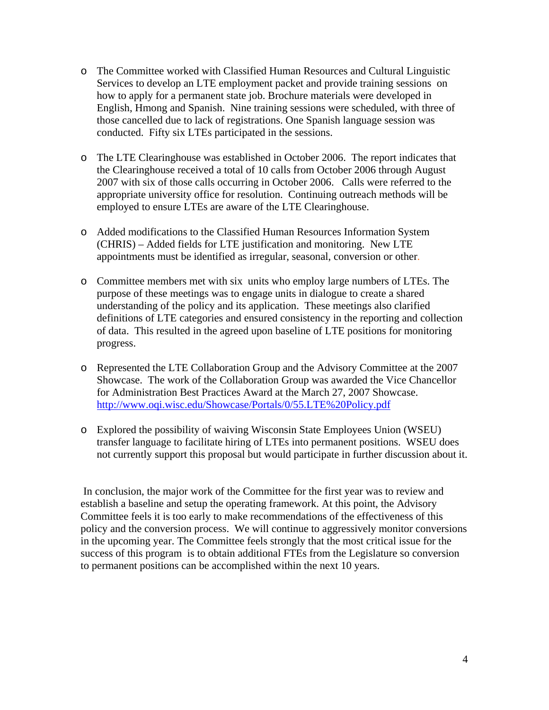- o The Committee worked with Classified Human Resources and Cultural Linguistic Services to develop an LTE employment packet and provide training sessions on how to apply for a permanent state job. Brochure materials were developed in English, Hmong and Spanish. Nine training sessions were scheduled, with three of those cancelled due to lack of registrations. One Spanish language session was conducted. Fifty six LTEs participated in the sessions.
- o The LTE Clearinghouse was established in October 2006. The report indicates that the Clearinghouse received a total of 10 calls from October 2006 through August 2007 with six of those calls occurring in October 2006. Calls were referred to the appropriate university office for resolution. Continuing outreach methods will be employed to ensure LTEs are aware of the LTE Clearinghouse.
- o Added modifications to the Classified Human Resources Information System (CHRIS) – Added fields for LTE justification and monitoring. New LTE appointments must be identified as irregular, seasonal, conversion or other.
- o Committee members met with six units who employ large numbers of LTEs. The purpose of these meetings was to engage units in dialogue to create a shared understanding of the policy and its application. These meetings also clarified definitions of LTE categories and ensured consistency in the reporting and collection of data. This resulted in the agreed upon baseline of LTE positions for monitoring progress.
- o Represented the LTE Collaboration Group and the Advisory Committee at the 2007 Showcase. The work of the Collaboration Group was awarded the Vice Chancellor for Administration Best Practices Award at the March 27, 2007 Showcase. http://www.oqi.wisc.edu/Showcase/Portals/0/55.LTE%20Policy.pdf
- o Explored the possibility of waiving Wisconsin State Employees Union (WSEU) transfer language to facilitate hiring of LTEs into permanent positions. WSEU does not currently support this proposal but would participate in further discussion about it.

 In conclusion, the major work of the Committee for the first year was to review and establish a baseline and setup the operating framework. At this point, the Advisory Committee feels it is too early to make recommendations of the effectiveness of this policy and the conversion process. We will continue to aggressively monitor conversions in the upcoming year. The Committee feels strongly that the most critical issue for the success of this program is to obtain additional FTEs from the Legislature so conversion to permanent positions can be accomplished within the next 10 years.